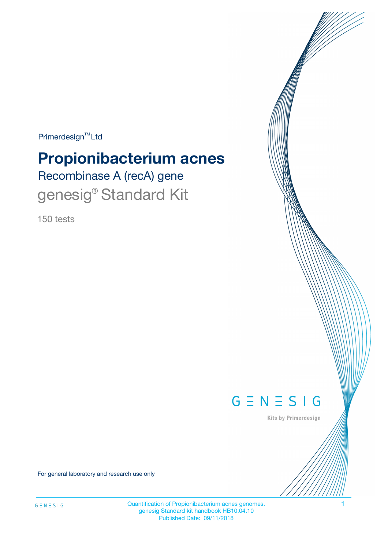$Primerdesign^{\text{TM}}Ltd$ 

# **Propionibacterium acnes**

Recombinase A (recA) gene genesig<sup>®</sup> Standard Kit

150 tests



Kits by Primerdesign

For general laboratory and research use only

Quantification of Propionibacterium acnes genomes. 1 genesig Standard kit handbook HB10.04.10 Published Date: 09/11/2018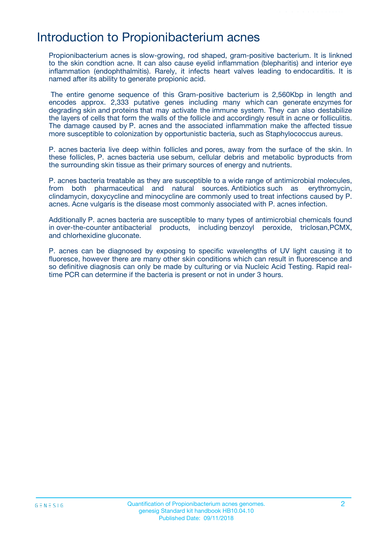### Introduction to Propionibacterium acnes

Propionibacterium acnes is slow-growing, rod shaped, gram-positive bacterium. It is linkned to the skin condtion acne. It can also cause eyelid inflammation (blepharitis) and interior eye inflammation (endophthalmitis). Rarely, it infects heart valves leading to endocarditis. It is named after its ability to generate propionic acid.

 The entire genome sequence of this Gram-positive bacterium is 2,560Kbp in length and encodes approx. 2,333 putative genes including many which can generate enzymes for degrading skin and proteins that may activate the immune system. They can also destabilize the layers of cells that form the walls of the follicle and accordingly result in acne or folliculitis. The damage caused by P. acnes and the associated inflammation make the affected tissue more susceptible to colonization by opportunistic bacteria, such as Staphylococcus aureus.

P. acnes bacteria live deep within follicles and pores, away from the surface of the skin. In these follicles, P. acnes bacteria use sebum, cellular debris and metabolic byproducts from the surrounding skin tissue as their primary sources of energy and nutrients.

P. acnes bacteria treatable as they are susceptible to a wide range of antimicrobial molecules, from both pharmaceutical and natural sources. Antibiotics such as erythromycin, clindamycin, doxycycline and minocycline are commonly used to treat infections caused by P. acnes. Acne vulgaris is the disease most commonly associated with P. acnes infection.

Additionally P. acnes bacteria are susceptible to many types of antimicrobial chemicals found in over-the-counter antibacterial products, including benzoyl peroxide, triclosan,PCMX, and chlorhexidine gluconate.

P. acnes can be diagnosed by exposing to specific wavelengths of UV light causing it to fluoresce, however there are many other skin conditions which can result in fluorescence and so definitive diagnosis can only be made by culturing or via Nucleic Acid Testing. Rapid realtime PCR can determine if the bacteria is present or not in under 3 hours.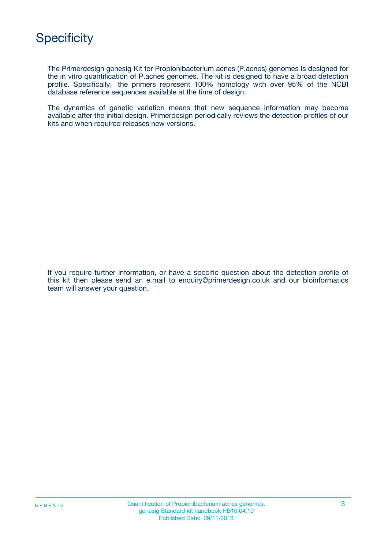

The Primerdesign genesig Kit for Propionibacterium acnes (P.acnes) genomes is designed for the in vitro quantification of P.acnes genomes. The kit is designed to have a broad detection profile. Specifically, the primers represent 100% homology with over 95% of the NCBI database reference sequences available at the time of design.

The dynamics of genetic variation means that new sequence information may become available after the initial design. Primerdesign periodically reviews the detection profiles of our kits and when required releases new versions.

If you require further information, or have a specific question about the detection profile of this kit then please send an e.mail to enquiry@primerdesign.co.uk and our bioinformatics team will answer your question.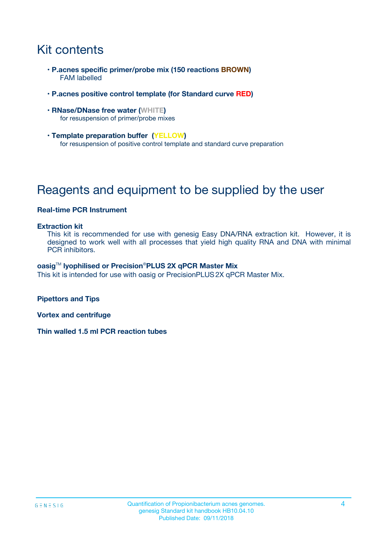# Kit contents

- **P.acnes specific primer/probe mix (150 reactions BROWN)** FAM labelled
- **P.acnes positive control template (for Standard curve RED)**
- **RNase/DNase free water (WHITE)** for resuspension of primer/probe mixes
- **Template preparation buffer (YELLOW)** for resuspension of positive control template and standard curve preparation

# Reagents and equipment to be supplied by the user

#### **Real-time PCR Instrument**

#### **Extraction kit**

This kit is recommended for use with genesig Easy DNA/RNA extraction kit. However, it is designed to work well with all processes that yield high quality RNA and DNA with minimal PCR inhibitors.

#### **oasig**TM **lyophilised or Precision**®**PLUS 2X qPCR Master Mix**

This kit is intended for use with oasig or PrecisionPLUS2X qPCR Master Mix.

**Pipettors and Tips**

**Vortex and centrifuge**

**Thin walled 1.5 ml PCR reaction tubes**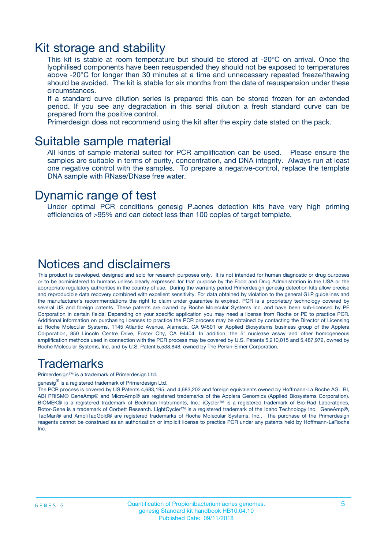### Kit storage and stability

This kit is stable at room temperature but should be stored at -20ºC on arrival. Once the lyophilised components have been resuspended they should not be exposed to temperatures above -20°C for longer than 30 minutes at a time and unnecessary repeated freeze/thawing should be avoided. The kit is stable for six months from the date of resuspension under these circumstances.

If a standard curve dilution series is prepared this can be stored frozen for an extended period. If you see any degradation in this serial dilution a fresh standard curve can be prepared from the positive control.

Primerdesign does not recommend using the kit after the expiry date stated on the pack.

### Suitable sample material

All kinds of sample material suited for PCR amplification can be used. Please ensure the samples are suitable in terms of purity, concentration, and DNA integrity. Always run at least one negative control with the samples. To prepare a negative-control, replace the template DNA sample with RNase/DNase free water.

### Dynamic range of test

Under optimal PCR conditions genesig P.acnes detection kits have very high priming efficiencies of >95% and can detect less than 100 copies of target template.

### Notices and disclaimers

This product is developed, designed and sold for research purposes only. It is not intended for human diagnostic or drug purposes or to be administered to humans unless clearly expressed for that purpose by the Food and Drug Administration in the USA or the appropriate regulatory authorities in the country of use. During the warranty period Primerdesign genesig detection kits allow precise and reproducible data recovery combined with excellent sensitivity. For data obtained by violation to the general GLP guidelines and the manufacturer's recommendations the right to claim under guarantee is expired. PCR is a proprietary technology covered by several US and foreign patents. These patents are owned by Roche Molecular Systems Inc. and have been sub-licensed by PE Corporation in certain fields. Depending on your specific application you may need a license from Roche or PE to practice PCR. Additional information on purchasing licenses to practice the PCR process may be obtained by contacting the Director of Licensing at Roche Molecular Systems, 1145 Atlantic Avenue, Alameda, CA 94501 or Applied Biosystems business group of the Applera Corporation, 850 Lincoln Centre Drive, Foster City, CA 94404. In addition, the 5' nuclease assay and other homogeneous amplification methods used in connection with the PCR process may be covered by U.S. Patents 5,210,015 and 5,487,972, owned by Roche Molecular Systems, Inc, and by U.S. Patent 5,538,848, owned by The Perkin-Elmer Corporation.

### Trademarks

Primerdesign™ is a trademark of Primerdesign Ltd.

genesig $^\circledR$  is a registered trademark of Primerdesign Ltd.

The PCR process is covered by US Patents 4,683,195, and 4,683,202 and foreign equivalents owned by Hoffmann-La Roche AG. BI, ABI PRISM® GeneAmp® and MicroAmp® are registered trademarks of the Applera Genomics (Applied Biosystems Corporation). BIOMEK® is a registered trademark of Beckman Instruments, Inc.; iCycler™ is a registered trademark of Bio-Rad Laboratories, Rotor-Gene is a trademark of Corbett Research. LightCycler™ is a registered trademark of the Idaho Technology Inc. GeneAmp®, TaqMan® and AmpliTaqGold® are registered trademarks of Roche Molecular Systems, Inc., The purchase of the Primerdesign reagents cannot be construed as an authorization or implicit license to practice PCR under any patents held by Hoffmann-LaRoche Inc.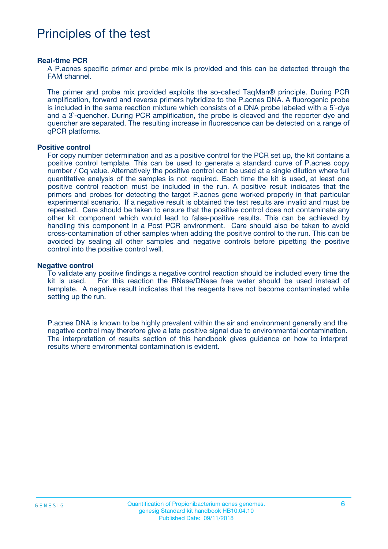# Principles of the test

#### **Real-time PCR**

A P.acnes specific primer and probe mix is provided and this can be detected through the FAM channel.

The primer and probe mix provided exploits the so-called TaqMan® principle. During PCR amplification, forward and reverse primers hybridize to the P.acnes DNA. A fluorogenic probe is included in the same reaction mixture which consists of a DNA probe labeled with a 5`-dye and a 3`-quencher. During PCR amplification, the probe is cleaved and the reporter dye and quencher are separated. The resulting increase in fluorescence can be detected on a range of qPCR platforms.

#### **Positive control**

For copy number determination and as a positive control for the PCR set up, the kit contains a positive control template. This can be used to generate a standard curve of P.acnes copy number / Cq value. Alternatively the positive control can be used at a single dilution where full quantitative analysis of the samples is not required. Each time the kit is used, at least one positive control reaction must be included in the run. A positive result indicates that the primers and probes for detecting the target P.acnes gene worked properly in that particular experimental scenario. If a negative result is obtained the test results are invalid and must be repeated. Care should be taken to ensure that the positive control does not contaminate any other kit component which would lead to false-positive results. This can be achieved by handling this component in a Post PCR environment. Care should also be taken to avoid cross-contamination of other samples when adding the positive control to the run. This can be avoided by sealing all other samples and negative controls before pipetting the positive control into the positive control well.

#### **Negative control**

To validate any positive findings a negative control reaction should be included every time the kit is used. For this reaction the RNase/DNase free water should be used instead of template. A negative result indicates that the reagents have not become contaminated while setting up the run.

P.acnes DNA is known to be highly prevalent within the air and environment generally and the negative control may therefore give a late positive signal due to environmental contamination. The interpretation of results section of this handbook gives guidance on how to interpret results where environmental contamination is evident.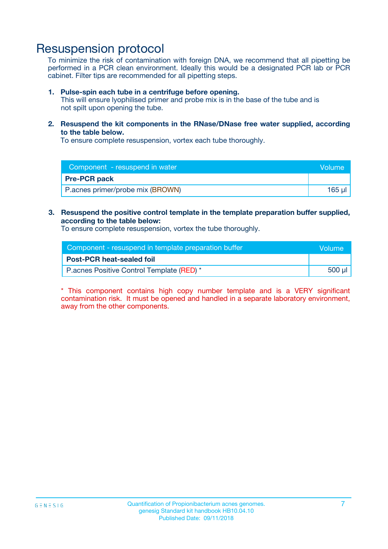## Resuspension protocol

To minimize the risk of contamination with foreign DNA, we recommend that all pipetting be performed in a PCR clean environment. Ideally this would be a designated PCR lab or PCR cabinet. Filter tips are recommended for all pipetting steps.

#### **1. Pulse-spin each tube in a centrifuge before opening.**

This will ensure lyophilised primer and probe mix is in the base of the tube and is not spilt upon opening the tube.

**2. Resuspend the kit components in the RNase/DNase free water supplied, according to the table below.**

To ensure complete resuspension, vortex each tube thoroughly.

| Component - resuspend in water   | Volume |
|----------------------------------|--------|
| <b>Pre-PCR pack</b>              |        |
| P.acnes primer/probe mix (BROWN) | 165 µl |

### **3. Resuspend the positive control template in the template preparation buffer supplied, according to the table below:**

To ensure complete resuspension, vortex the tube thoroughly.

| Component - resuspend in template preparation buffer | <b>Nolume</b> |
|------------------------------------------------------|---------------|
| <b>Post-PCR heat-sealed foil</b>                     |               |
| P.acnes Positive Control Template (RED) *            | 500 µl        |

\* This component contains high copy number template and is a VERY significant contamination risk. It must be opened and handled in a separate laboratory environment, away from the other components.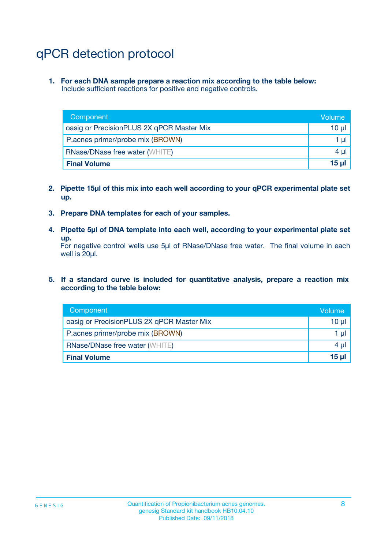# qPCR detection protocol

**1. For each DNA sample prepare a reaction mix according to the table below:** Include sufficient reactions for positive and negative controls.

| Component                                 | Volume          |
|-------------------------------------------|-----------------|
| oasig or PrecisionPLUS 2X qPCR Master Mix | 10 $\mu$        |
| P.acnes primer/probe mix (BROWN)          | 1 $\mu$         |
| <b>RNase/DNase free water (WHITE)</b>     | $4 \mu$         |
| <b>Final Volume</b>                       | 15 <sub>µ</sub> |

- **2. Pipette 15µl of this mix into each well according to your qPCR experimental plate set up.**
- **3. Prepare DNA templates for each of your samples.**
- **4. Pipette 5µl of DNA template into each well, according to your experimental plate set up.**

For negative control wells use 5µl of RNase/DNase free water. The final volume in each well is 20µl.

**5. If a standard curve is included for quantitative analysis, prepare a reaction mix according to the table below:**

| Component                                 | Volume          |
|-------------------------------------------|-----------------|
| oasig or PrecisionPLUS 2X qPCR Master Mix | 10 µl           |
| P.acnes primer/probe mix (BROWN)          | 1 µI            |
| <b>RNase/DNase free water (WHITE)</b>     | $4 \mu$         |
| <b>Final Volume</b>                       | 15 <sub>µ</sub> |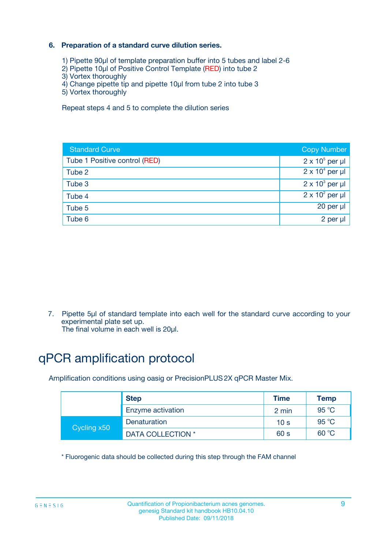### **6. Preparation of a standard curve dilution series.**

- 1) Pipette 90µl of template preparation buffer into 5 tubes and label 2-6
- 2) Pipette 10µl of Positive Control Template (RED) into tube 2
- 3) Vortex thoroughly
- 4) Change pipette tip and pipette 10µl from tube 2 into tube 3
- 5) Vortex thoroughly

Repeat steps 4 and 5 to complete the dilution series

| <b>Standard Curve</b>         | <b>Copy Number</b>     |
|-------------------------------|------------------------|
| Tube 1 Positive control (RED) | $2 \times 10^5$ per µl |
| Tube 2                        | $2 \times 10^4$ per µl |
| Tube 3                        | $2 \times 10^3$ per µl |
| Tube 4                        | $2 \times 10^2$ per µl |
| Tube 5                        | 20 per µl              |
| Tube 6                        | $2$ per $\mu$          |

7. Pipette 5µl of standard template into each well for the standard curve according to your experimental plate set up.

The final volume in each well is 20µl.

# qPCR amplification protocol

Amplification conditions using oasig or PrecisionPLUS2X qPCR Master Mix.

| <b>Step</b> |                   | <b>Time</b>     | Temp    |
|-------------|-------------------|-----------------|---------|
|             | Enzyme activation | 2 min           | 95 °C   |
| Cycling x50 | Denaturation      | 10 <sub>s</sub> | 95 $°C$ |
|             | DATA COLLECTION * | 60 s            | 60 °C   |

\* Fluorogenic data should be collected during this step through the FAM channel